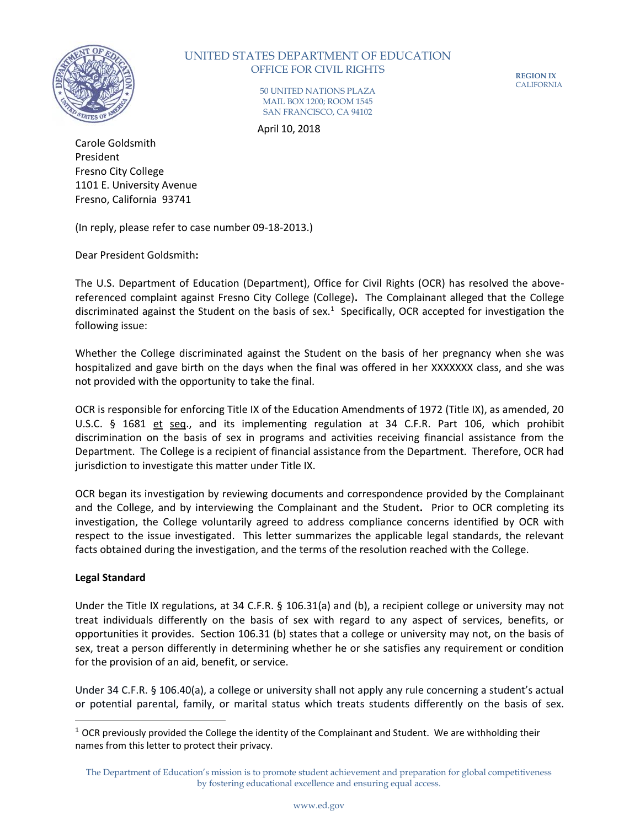

# UNITED STATES DEPARTMENT OF EDUCATION OFFICE FOR CIVIL RIGHTS

**REGION IX** CALIFORNIA

50 UNITED NATIONS PLAZA MAIL BOX 1200; ROOM 1545 SAN FRANCISCO, CA 94102

April 10, 2018

Carole Goldsmith President Fresno City College 1101 E. University Avenue Fresno, California 93741

(In reply, please refer to case number 09-18-2013.)

Dear President Goldsmith**:**

The U.S. Department of Education (Department), Office for Civil Rights (OCR) has resolved the abovereferenced complaint against Fresno City College (College)**.** The Complainant alleged that the College discriminated against the Student on the basis of sex.<sup>1</sup> Specifically, OCR accepted for investigation the following issue:

Whether the College discriminated against the Student on the basis of her pregnancy when she was hospitalized and gave birth on the days when the final was offered in her XXXXXXX class, and she was not provided with the opportunity to take the final.

OCR is responsible for enforcing Title IX of the Education Amendments of 1972 (Title IX), as amended, 20 U.S.C. § 1681 et seq., and its implementing regulation at 34 C.F.R. Part 106, which prohibit discrimination on the basis of sex in programs and activities receiving financial assistance from the Department. The College is a recipient of financial assistance from the Department. Therefore, OCR had jurisdiction to investigate this matter under Title IX.

OCR began its investigation by reviewing documents and correspondence provided by the Complainant and the College, and by interviewing the Complainant and the Student**.** Prior to OCR completing its investigation, the College voluntarily agreed to address compliance concerns identified by OCR with respect to the issue investigated. This letter summarizes the applicable legal standards, the relevant facts obtained during the investigation, and the terms of the resolution reached with the College.

## **Legal Standard**

 $\overline{\phantom{a}}$ 

Under the Title IX regulations, at 34 C.F.R. § 106.31(a) and (b), a recipient college or university may not treat individuals differently on the basis of sex with regard to any aspect of services, benefits, or opportunities it provides. Section 106.31 (b) states that a college or university may not, on the basis of sex, treat a person differently in determining whether he or she satisfies any requirement or condition for the provision of an aid, benefit, or service.

Under 34 C.F.R. § 106.40(a), a college or university shall not apply any rule concerning a student's actual or potential parental, family, or marital status which treats students differently on the basis of sex.

 $1$  OCR previously provided the College the identity of the Complainant and Student. We are withholding their names from this letter to protect their privacy.

The Department of Education's mission is to promote student achievement and preparation for global competitiveness by fostering educational excellence and ensuring equal access.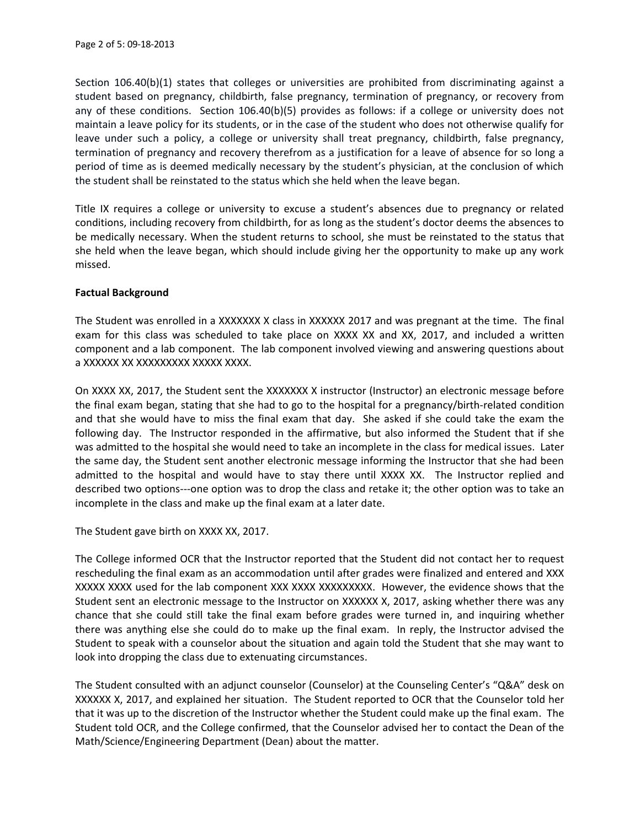Section 106.40(b)(1) states that colleges or universities are prohibited from discriminating against a student based on pregnancy, childbirth, false pregnancy, termination of pregnancy, or recovery from any of these conditions. Section 106.40(b)(5) provides as follows: if a college or university does not maintain a leave policy for its students, or in the case of the student who does not otherwise qualify for leave under such a policy, a college or university shall treat pregnancy, childbirth, false pregnancy, termination of pregnancy and recovery therefrom as a justification for a leave of absence for so long a period of time as is deemed medically necessary by the student's physician, at the conclusion of which the student shall be reinstated to the status which she held when the leave began.

Title IX requires a college or university to excuse a student's absences due to pregnancy or related conditions, including recovery from childbirth, for as long as the student's doctor deems the absences to be medically necessary. When the student returns to school, she must be reinstated to the status that she held when the leave began, which should include giving her the opportunity to make up any work missed.

## **Factual Background**

The Student was enrolled in a XXXXXXX X class in XXXXXX 2017 and was pregnant at the time. The final exam for this class was scheduled to take place on XXXX XX and XX, 2017, and included a written component and a lab component. The lab component involved viewing and answering questions about a XXXXXX XX XXXXXXXXX XXXXX XXXX.

On XXXX XX, 2017, the Student sent the XXXXXXX X instructor (Instructor) an electronic message before the final exam began, stating that she had to go to the hospital for a pregnancy/birth-related condition and that she would have to miss the final exam that day. She asked if she could take the exam the following day. The Instructor responded in the affirmative, but also informed the Student that if she was admitted to the hospital she would need to take an incomplete in the class for medical issues. Later the same day, the Student sent another electronic message informing the Instructor that she had been admitted to the hospital and would have to stay there until XXXX XX. The Instructor replied and described two options---one option was to drop the class and retake it; the other option was to take an incomplete in the class and make up the final exam at a later date.

The Student gave birth on XXXX XX, 2017.

The College informed OCR that the Instructor reported that the Student did not contact her to request rescheduling the final exam as an accommodation until after grades were finalized and entered and XXX XXXXX XXXX used for the lab component XXX XXXX XXXXXXXXX. However, the evidence shows that the Student sent an electronic message to the Instructor on XXXXXX X, 2017, asking whether there was any chance that she could still take the final exam before grades were turned in, and inquiring whether there was anything else she could do to make up the final exam. In reply, the Instructor advised the Student to speak with a counselor about the situation and again told the Student that she may want to look into dropping the class due to extenuating circumstances.

The Student consulted with an adjunct counselor (Counselor) at the Counseling Center's "Q&A" desk on XXXXXX X, 2017, and explained her situation. The Student reported to OCR that the Counselor told her that it was up to the discretion of the Instructor whether the Student could make up the final exam. The Student told OCR, and the College confirmed, that the Counselor advised her to contact the Dean of the Math/Science/Engineering Department (Dean) about the matter.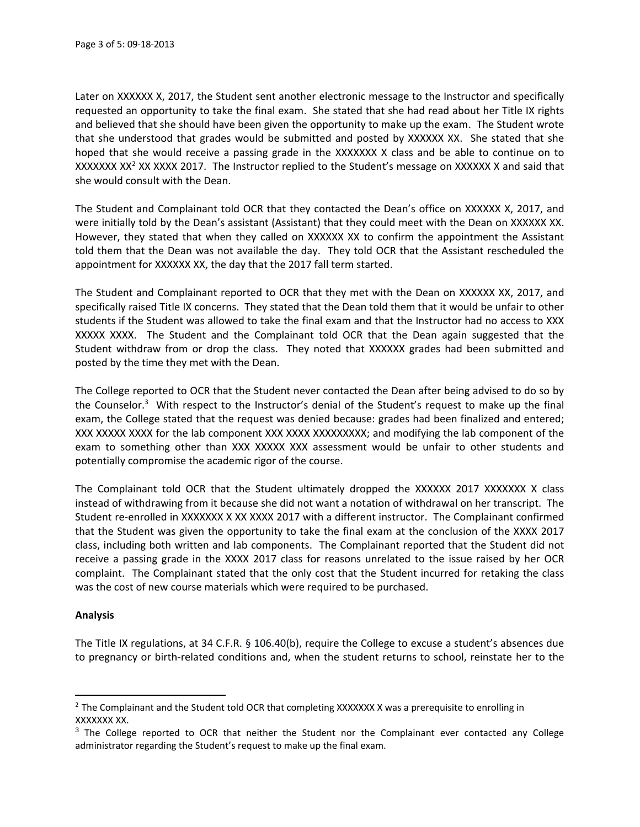Later on XXXXXX X, 2017, the Student sent another electronic message to the Instructor and specifically requested an opportunity to take the final exam. She stated that she had read about her Title IX rights and believed that she should have been given the opportunity to make up the exam. The Student wrote that she understood that grades would be submitted and posted by XXXXXX XX. She stated that she hoped that she would receive a passing grade in the XXXXXXX X class and be able to continue on to XXXXXXX XX<sup>2</sup> XX XXXX 2017. The Instructor replied to the Student's message on XXXXXX X and said that she would consult with the Dean.

The Student and Complainant told OCR that they contacted the Dean's office on XXXXXX X, 2017, and were initially told by the Dean's assistant (Assistant) that they could meet with the Dean on XXXXXX XX. However, they stated that when they called on XXXXXX XX to confirm the appointment the Assistant told them that the Dean was not available the day. They told OCR that the Assistant rescheduled the appointment for XXXXXX XX, the day that the 2017 fall term started.

The Student and Complainant reported to OCR that they met with the Dean on XXXXXX XX, 2017, and specifically raised Title IX concerns. They stated that the Dean told them that it would be unfair to other students if the Student was allowed to take the final exam and that the Instructor had no access to XXX XXXXX XXXX. The Student and the Complainant told OCR that the Dean again suggested that the Student withdraw from or drop the class. They noted that XXXXXX grades had been submitted and posted by the time they met with the Dean.

The College reported to OCR that the Student never contacted the Dean after being advised to do so by the Counselor.<sup>3</sup> With respect to the Instructor's denial of the Student's request to make up the final exam, the College stated that the request was denied because: grades had been finalized and entered; XXX XXXXX XXXX for the lab component XXX XXXX XXXXXXXXX; and modifying the lab component of the exam to something other than XXX XXXXX XXX assessment would be unfair to other students and potentially compromise the academic rigor of the course.

The Complainant told OCR that the Student ultimately dropped the XXXXXX 2017 XXXXXXX X class instead of withdrawing from it because she did not want a notation of withdrawal on her transcript. The Student re-enrolled in XXXXXXX X XX XXXX 2017 with a different instructor. The Complainant confirmed that the Student was given the opportunity to take the final exam at the conclusion of the XXXX 2017 class, including both written and lab components. The Complainant reported that the Student did not receive a passing grade in the XXXX 2017 class for reasons unrelated to the issue raised by her OCR complaint. The Complainant stated that the only cost that the Student incurred for retaking the class was the cost of new course materials which were required to be purchased.

### **Analysis**

 $\overline{\phantom{a}}$ 

The Title IX regulations, at 34 C.F.R. § 106.40(b), require the College to excuse a student's absences due to pregnancy or birth-related conditions and, when the student returns to school, reinstate her to the

<sup>&</sup>lt;sup>2</sup> The Complainant and the Student told OCR that completing XXXXXXX X was a prerequisite to enrolling in XXXXXXX XX.

 $3$  The College reported to OCR that neither the Student nor the Complainant ever contacted any College administrator regarding the Student's request to make up the final exam.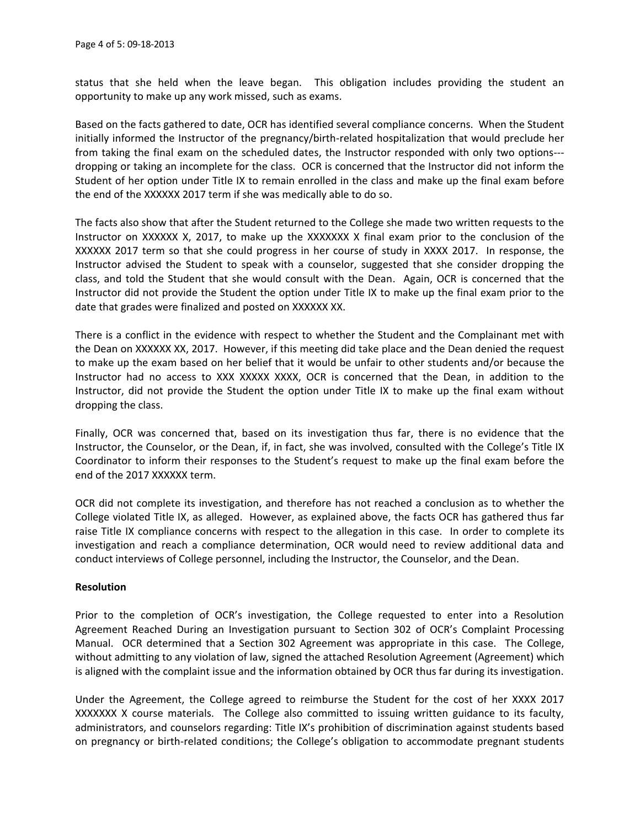status that she held when the leave began. This obligation includes providing the student an opportunity to make up any work missed, such as exams.

Based on the facts gathered to date, OCR has identified several compliance concerns. When the Student initially informed the Instructor of the pregnancy/birth-related hospitalization that would preclude her from taking the final exam on the scheduled dates, the Instructor responded with only two options-- dropping or taking an incomplete for the class. OCR is concerned that the Instructor did not inform the Student of her option under Title IX to remain enrolled in the class and make up the final exam before the end of the XXXXXX 2017 term if she was medically able to do so.

The facts also show that after the Student returned to the College she made two written requests to the Instructor on XXXXXX X, 2017, to make up the XXXXXXX X final exam prior to the conclusion of the XXXXXX 2017 term so that she could progress in her course of study in XXXX 2017. In response, the Instructor advised the Student to speak with a counselor, suggested that she consider dropping the class, and told the Student that she would consult with the Dean. Again, OCR is concerned that the Instructor did not provide the Student the option under Title IX to make up the final exam prior to the date that grades were finalized and posted on XXXXXX XX.

There is a conflict in the evidence with respect to whether the Student and the Complainant met with the Dean on XXXXXX XX, 2017. However, if this meeting did take place and the Dean denied the request to make up the exam based on her belief that it would be unfair to other students and/or because the Instructor had no access to XXX XXXXX XXXX, OCR is concerned that the Dean, in addition to the Instructor, did not provide the Student the option under Title IX to make up the final exam without dropping the class.

Finally, OCR was concerned that, based on its investigation thus far, there is no evidence that the Instructor, the Counselor, or the Dean, if, in fact, she was involved, consulted with the College's Title IX Coordinator to inform their responses to the Student's request to make up the final exam before the end of the 2017 XXXXXX term.

OCR did not complete its investigation, and therefore has not reached a conclusion as to whether the College violated Title IX, as alleged. However, as explained above, the facts OCR has gathered thus far raise Title IX compliance concerns with respect to the allegation in this case. In order to complete its investigation and reach a compliance determination, OCR would need to review additional data and conduct interviews of College personnel, including the Instructor, the Counselor, and the Dean.

### **Resolution**

Prior to the completion of OCR's investigation, the College requested to enter into a Resolution Agreement Reached During an Investigation pursuant to Section 302 of OCR's Complaint Processing Manual. OCR determined that a Section 302 Agreement was appropriate in this case. The College, without admitting to any violation of law, signed the attached Resolution Agreement (Agreement) which is aligned with the complaint issue and the information obtained by OCR thus far during its investigation.

Under the Agreement, the College agreed to reimburse the Student for the cost of her XXXX 2017 XXXXXXX X course materials. The College also committed to issuing written guidance to its faculty, administrators, and counselors regarding: Title IX's prohibition of discrimination against students based on pregnancy or birth-related conditions; the College's obligation to accommodate pregnant students